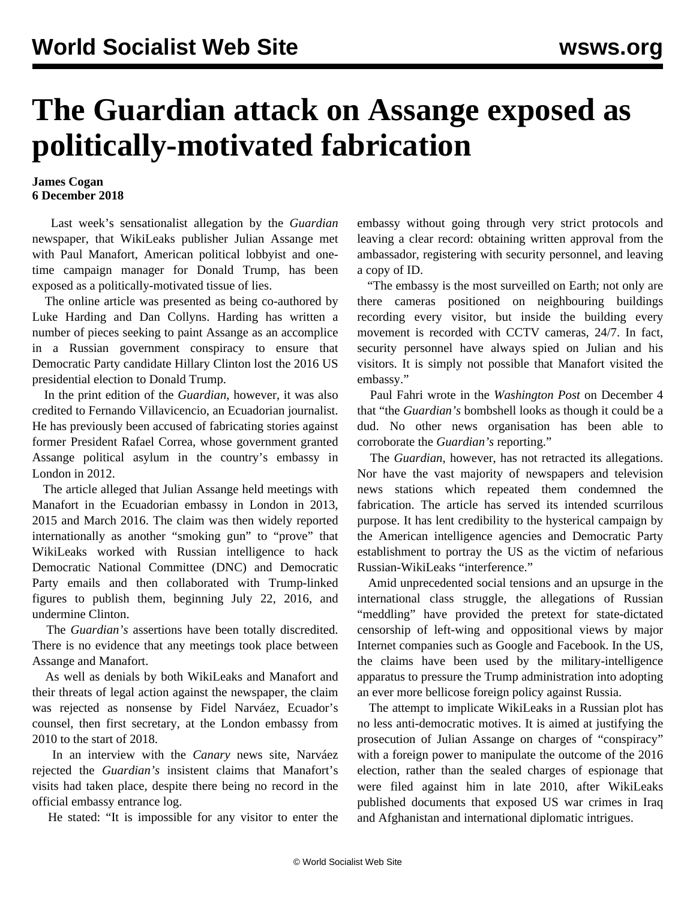## **The Guardian attack on Assange exposed as politically-motivated fabrication**

## **James Cogan 6 December 2018**

 Last week's sensationalist allegation by the *Guardian* newspaper, that WikiLeaks publisher Julian Assange met with Paul Manafort, American political lobbyist and onetime campaign manager for Donald Trump, has been exposed as a politically-motivated tissue of lies.

 The online article was presented as being co-authored by Luke Harding and Dan Collyns. Harding has written a number of pieces seeking to paint Assange as an accomplice in a Russian government conspiracy to ensure that Democratic Party candidate Hillary Clinton lost the 2016 US presidential election to Donald Trump.

 In the print edition of the *Guardian*, however, it was also credited to Fernando Villavicencio, an Ecuadorian journalist. He has previously been accused of fabricating stories against former President Rafael Correa, whose government granted Assange political asylum in the country's embassy in London in 2012.

 The article alleged that Julian Assange held meetings with Manafort in the Ecuadorian embassy in London in 2013, 2015 and March 2016. The claim was then widely reported internationally as another "smoking gun" to "prove" that WikiLeaks worked with Russian intelligence to hack Democratic National Committee (DNC) and Democratic Party emails and then collaborated with Trump-linked figures to publish them, beginning July 22, 2016, and undermine Clinton.

 The *Guardian's* assertions have been totally discredited. There is no evidence that any meetings took place between Assange and Manafort.

 As well as denials by both WikiLeaks and Manafort and their threats of legal action against the newspaper, the claim was rejected as nonsense by Fidel Narváez, Ecuador's counsel, then first secretary, at the London embassy from 2010 to the start of 2018.

 In an interview with the *Canary* news site, Narváez rejected the *Guardian's* insistent claims that Manafort's visits had taken place, despite there being no record in the official embassy entrance log.

He stated: "It is impossible for any visitor to enter the

embassy without going through very strict protocols and leaving a clear record: obtaining written approval from the ambassador, registering with security personnel, and leaving a copy of ID.

 "The embassy is the most surveilled on Earth; not only are there cameras positioned on neighbouring buildings recording every visitor, but inside the building every movement is recorded with CCTV cameras, 24/7. In fact, security personnel have always spied on Julian and his visitors. It is simply not possible that Manafort visited the embassy."

 Paul Fahri wrote in the *Washington Post* on December 4 that "the *Guardian's* bombshell looks as though it could be a dud. No other news organisation has been able to corroborate the *Guardian's* reporting."

 The *Guardian*, however, has not retracted its allegations. Nor have the vast majority of newspapers and television news stations which repeated them condemned the fabrication. The article has served its intended scurrilous purpose. It has lent credibility to the hysterical campaign by the American intelligence agencies and Democratic Party establishment to portray the US as the victim of nefarious Russian-WikiLeaks "interference."

 Amid unprecedented social tensions and an upsurge in the international class struggle, the allegations of Russian "meddling" have provided the pretext for state-dictated censorship of left-wing and oppositional views by major Internet companies such as Google and Facebook. In the US, the claims have been used by the military-intelligence apparatus to pressure the Trump administration into adopting an ever more bellicose foreign policy against Russia.

 The attempt to implicate WikiLeaks in a Russian plot has no less anti-democratic motives. It is aimed at justifying the prosecution of Julian Assange on charges of "conspiracy" with a foreign power to manipulate the outcome of the 2016 election, rather than the sealed charges of espionage that were filed against him in late 2010, after WikiLeaks published documents that exposed US war crimes in Iraq and Afghanistan and international diplomatic intrigues.